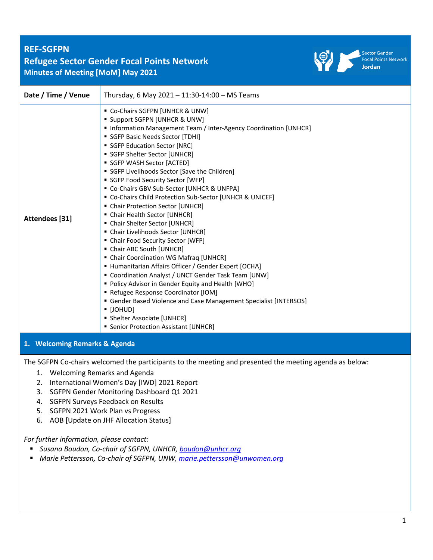# **REF-SGFPN Refugee Sector Gender Focal Points Network Minutes of Meeting [MoM] May 2021**



Sector Gender<br>Focal Points Network Jordan

| Date / Time / Venue           | Thursday, 6 May 2021 - 11:30-14:00 - MS Teams                                                                                                                                                                                                                                                                                                                                                                                                                                                                                                                                                                                                                                                                                                                                                                                                                                                                                                                                                                                                                                                        |  |  |
|-------------------------------|------------------------------------------------------------------------------------------------------------------------------------------------------------------------------------------------------------------------------------------------------------------------------------------------------------------------------------------------------------------------------------------------------------------------------------------------------------------------------------------------------------------------------------------------------------------------------------------------------------------------------------------------------------------------------------------------------------------------------------------------------------------------------------------------------------------------------------------------------------------------------------------------------------------------------------------------------------------------------------------------------------------------------------------------------------------------------------------------------|--|--|
| Attendees [31]                | " Co-Chairs SGFPN [UNHCR & UNW]<br><b>Support SGFPN [UNHCR &amp; UNW]</b><br>Information Management Team / Inter-Agency Coordination [UNHCR]<br>SGFP Basic Needs Sector [TDHI]<br>SGFP Education Sector [NRC]<br>SGFP Shelter Sector [UNHCR]<br>SGFP WASH Sector [ACTED]<br>SGFP Livelihoods Sector [Save the Children]<br>SGFP Food Security Sector [WFP]<br>" Co-Chairs GBV Sub-Sector [UNHCR & UNFPA]<br>" Co-Chairs Child Protection Sub-Sector [UNHCR & UNICEF]<br>• Chair Protection Sector [UNHCR]<br>• Chair Health Sector [UNHCR]<br>• Chair Shelter Sector [UNHCR]<br>• Chair Livelihoods Sector [UNHCR]<br>• Chair Food Security Sector [WFP]<br>• Chair ABC South [UNHCR]<br>• Chair Coordination WG Mafraq [UNHCR]<br>■ Humanitarian Affairs Officer / Gender Expert [OCHA]<br>" Coordination Analyst / UNCT Gender Task Team [UNW]<br>• Policy Advisor in Gender Equity and Health [WHO]<br>Refugee Response Coordinator [IOM]<br>Gender Based Violence and Case Management Specialist [INTERSOS]<br>• [JOHUD]<br>• Shelter Associate [UNHCR]<br>• Senior Protection Assistant [UNHCR] |  |  |
| 1. Welcoming Remarks & Agenda |                                                                                                                                                                                                                                                                                                                                                                                                                                                                                                                                                                                                                                                                                                                                                                                                                                                                                                                                                                                                                                                                                                      |  |  |

The SGFPN Co-chairs welcomed the participants to the meeting and presented the meeting agenda as below:

- 1. Welcoming Remarks and Agenda
- 2. International Women's Day [IWD] 2021 Report
- 3. SGFPN Gender Monitoring Dashboard Q1 2021
- 4. SGFPN Surveys Feedback on Results
- 5. SGFPN 2021 Work Plan vs Progress
- 6. AOB [Update on JHF Allocation Status]

## *For further information, please contact:*

- *Susana Boudon, Co-chair of SGFPN, UNHCR, [boudon@unhcr.org](mailto:boudon@unhcr.org)*
- *Marie Pettersson, Co-chair of SGFPN, UNW, [marie.pettersson@unwomen.org](mailto:marie.pettersson@unwomen.org)*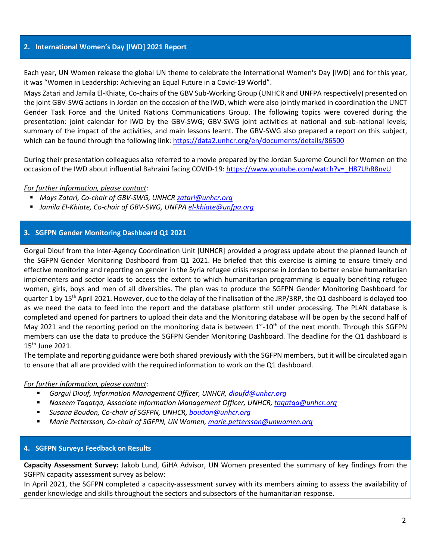### **2. International Women's Day [IWD] 2021 Report**

Each year, UN Women release the global UN theme to celebrate the International Women's Day [IWD] and for this year, it was "Women in Leadership: Achieving an Equal Future in a Covid-19 World".

Mays Zatari and Jamila El-Khiate, Co-chairs of the GBV Sub-Working Group (UNHCR and UNFPA respectively) presented on the joint GBV-SWG actions in Jordan on the occasion of the IWD, which were also jointly marked in coordination the UNCT Gender Task Force and the United Nations Communications Group. The following topics were covered during the presentation: joint calendar for IWD by the GBV-SWG; GBV-SWG joint activities at national and sub-national levels; summary of the impact of the activities, and main lessons learnt. The GBV-SWG also prepared a report on this subject, which can be found through the following link[: https://data2.unhcr.org/en/documents/details/86500](https://data2.unhcr.org/en/documents/details/86500)

During their presentation colleagues also referred to a movie prepared by the Jordan Supreme Council for Women on the occasion of the IWD about influential Bahraini facing COVID-19: [https://www.youtube.com/watch?v=\\_H87UhR8nvU](https://eur02.safelinks.protection.outlook.com/?url=https%3A%2F%2Fwww.youtube.com%2Fwatch%3Fv%3D_H87UhR8nvU&data=04%7C01%7Cboudon%40unhcr.org%7Cc021686533d84a9af50408d91aadd20a%7Ce5c37981666441348a0c6543d2af80be%7C0%7C0%7C637570156131804517%7CUnknown%7CTWFpbGZsb3d8eyJWIjoiMC4wLjAwMDAiLCJQIjoiV2luMzIiLCJBTiI6Ik1haWwiLCJXVCI6Mn0%3D%7C1000&sdata=uj4i55KjHtTIHCK2avgkYK7nxzGh%2FEMJ1kW4NFDuvto%3D&reserved=0)

## *For further information, please contact:*

- *Mays Zatari, Co-chair of GBV-SWG, UNHCR* [zatari@unhcr.org](mailto:zatari@unhcr.org)
- *Jamila El-Khiate, Co-chair of GBV-SWG, UNFPA [el-khiate@unfpa.org](mailto:el-khiate@unfpa.org)*

## **3. SGFPN Gender Monitoring Dashboard Q1 2021**

Gorgui Diouf from the Inter-Agency Coordination Unit [UNHCR] provided a progress update about the planned launch of the SGFPN Gender Monitoring Dashboard from Q1 2021. He briefed that this exercise is aiming to ensure timely and effective monitoring and reporting on gender in the Syria refugee crisis response in Jordan to better enable humanitarian implementers and sector leads to access the extent to which humanitarian programming is equally benefiting refugee women, girls, boys and men of all diversities. The plan was to produce the SGFPN Gender Monitoring Dashboard for quarter 1 by 15<sup>th</sup> April 2021. However, due to the delay of the finalisation of the JRP/3RP, the Q1 dashboard is delayed too as we need the data to feed into the report and the database platform still under processing. The PLAN database is completed and opened for partners to upload their data and the Monitoring database will be open by the second half of May 2021 and the reporting period on the monitoring data is between 1<sup>st</sup>-10<sup>th</sup> of the next month. Through this SGFPN members can use the data to produce the SGFPN Gender Monitoring Dashboard. The deadline for the Q1 dashboard is 15th June 2021.

The template and reporting guidance were both shared previously with the SGFPN members, but it will be circulated again to ensure that all are provided with the required information to work on the Q1 dashboard.

## *For further information, please contact:*

- *Gorgui Diouf, Information Management Officer, UNHCR, [dioufd@unhcr.org](mailto:dioufd@unhcr.org)*
- *Naseem Taqatqa, Associate Information Management Officer, UNHCR, [taqatqa@unhcr.org](mailto:taqatqa@unhcr.org)*
- *Susana Boudon, Co-chair of SGFPN, UNHCR, [boudon@unhcr.org](mailto:boudon@unhcr.org)*
- *Marie Pettersson, Co-chair of SGFPN, UN Women, [marie.pettersson@unwomen.org](mailto:marie.pettersson@unwomen.org)*

#### **4. SGFPN Surveys Feedback on Results**

**Capacity Assessment Survey:** Jakob Lund, GiHA Advisor, UN Women presented the summary of key findings from the SGFPN capacity assessment survey as below:

In April 2021, the SGFPN completed a capacity-assessment survey with its members aiming to assess the availability of gender knowledge and skills throughout the sectors and subsectors of the humanitarian response.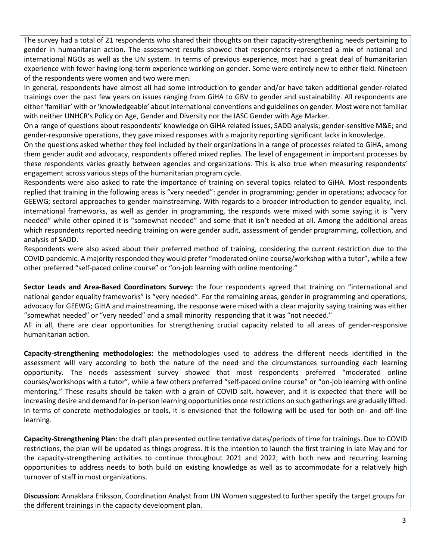The survey had a total of 21 respondents who shared their thoughts on their capacity-strengthening needs pertaining to gender in humanitarian action. The assessment results showed that respondents represented a mix of national and international NGOs as well as the UN system. In terms of previous experience, most had a great deal of humanitarian experience with fewer having long-term experience working on gender. Some were entirely new to either field. Nineteen of the respondents were women and two were men.

In general, respondents have almost all had some introduction to gender and/or have taken additional gender-related trainings over the past few years on issues ranging from GiHA to GBV to gender and sustainability. All respondents are either 'familiar' with or'knowledgeable' about international conventions and guidelines on gender. Most were not familiar with neither UNHCR's Policy on Age, Gender and Diversity nor the IASC Gender with Age Marker.

On a range of questions about respondents' knowledge on GiHA related issues, SADD analysis; gender-sensitive M&E; and gender-responsive operations, they gave mixed responses with a majority reporting significant lacks in knowledge.

On the questions asked whether they feel included by their organizations in a range of processes related to GiHA, among them gender audit and advocacy, respondents offered mixed replies. The level of engagement in important processes by these respondents varies greatly between agencies and organizations. This is also true when measuring respondents' engagement across various steps of the humanitarian program cycle.

Respondents were also asked to rate the importance of training on several topics related to GiHA. Most respondents replied that training in the following areas is "very needed": gender in programming; gender in operations; advocacy for GEEWG; sectoral approaches to gender mainstreaming. With regards to a broader introduction to gender equality, incl. international frameworks, as well as gender in programming, the responds were mixed with some saying it is "very needed" while other opined it is "somewhat needed" and some that it isn't needed at all. Among the additional areas which respondents reported needing training on were gender audit, assessment of gender programming, collection, and analysis of SADD.

Respondents were also asked about their preferred method of training, considering the current restriction due to the COVID pandemic. A majority responded they would prefer "moderated online course/workshop with a tutor", while a few other preferred "self-paced online course" or "on-job learning with online mentoring."

**Sector Leads and Area-Based Coordinators Survey:** the four respondents agreed that training on "international and national gender equality frameworks" is "very needed". For the remaining areas, gender in programming and operations; advocacy for GEEWG; GiHA and mainstreaming, the response were mixed with a clear majority saying training was either "somewhat needed" or "very needed" and a small minority responding that it was "not needed."

All in all, there are clear opportunities for strengthening crucial capacity related to all areas of gender-responsive humanitarian action.

**Capacity-strengthening methodologies:** the methodologies used to address the different needs identified in the assessment will vary according to both the nature of the need and the circumstances surrounding each learning opportunity. The needs assessment survey showed that most respondents preferred "moderated online courses/workshops with a tutor", while a few others preferred "self-paced online course" or "on-job learning with online mentoring." These results should be taken with a grain of COVID salt, however, and it is expected that there will be increasing desire and demand for in-person learning opportunities once restrictions on such gatherings are gradually lifted. In terms of concrete methodologies or tools, it is envisioned that the following will be used for both on- and off-line learning.

**Capacity-Strengthening Plan:** the draft plan presented outline tentative dates/periods of time for trainings. Due to COVID restrictions, the plan will be updated as things progress. It is the intention to launch the first training in late May and for the capacity-strengthening activities to continue throughout 2021 and 2022, with both new and recurring learning opportunities to address needs to both build on existing knowledge as well as to accommodate for a relatively high turnover of staff in most organizations.

**Discussion:** Annaklara Eriksson, Coordination Analyst from UN Women suggested to further specify the target groups for the different trainings in the capacity development plan.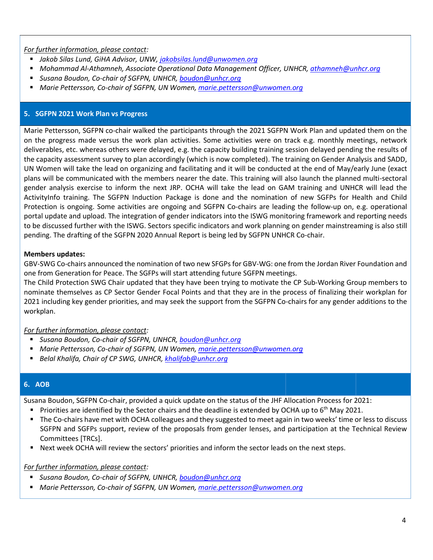*For further information, please contact:*

- *Jakob Silas Lund, GiHA Advisor, UNW, [jakobsilas.lund@unwomen.org](mailto:jakobsilas.lund@unwomen.org)*
- *Mohammad Al-Athamneh, Associate Operational Data Management Officer, UNHCR, [athamneh@unhcr.org](mailto:athamneh@unhcr.org)*
- *Susana Boudon, Co-chair of SGFPN, UNHCR, [boudon@unhcr.org](mailto:boudon@unhcr.org)*
- *Marie Pettersson, Co-chair of SGFPN, UN Women[, marie.pettersson@unwomen.org](mailto:marie.pettersson@unwomen.org)*

## **5. SGFPN 2021 Work Plan vs Progress**

Marie Pettersson, SGFPN co-chair walked the participants through the 2021 SGFPN Work Plan and updated them on the on the progress made versus the work plan activities. Some activities were on track e.g. monthly meetings, network deliverables, etc. whereas others were delayed, e.g. the capacity building training session delayed pending the results of the capacity assessment survey to plan accordingly (which is now completed). The training on Gender Analysis and SADD, UN Women will take the lead on organizing and facilitating and it will be conducted at the end of May/early June (exact plans will be communicated with the members nearer the date. This training will also launch the planned multi-sectoral gender analysis exercise to inform the next JRP. OCHA will take the lead on GAM training and UNHCR will lead the ActivityInfo training. The SGFPN Induction Package is done and the nomination of new SGFPs for Health and Child Protection is ongoing. Some activities are ongoing and SGFPN Co-chairs are leading the follow-up on, e.g. operational portal update and upload. The integration of gender indicators into the ISWG monitoring framework and reporting needs to be discussed further with the ISWG. Sectors specific indicators and work planning on gender mainstreaming is also still pending. The drafting of the SGFPN 2020 Annual Report is being led by SGFPN UNHCR Co-chair.

## **Members updates:**

GBV-SWG Co-chairs announced the nomination of two new SFGPs for GBV-WG: one from the Jordan River Foundation and one from Generation for Peace. The SGFPs will start attending future SGFPN meetings.

The Child Protection SWG Chair updated that they have been trying to motivate the CP Sub-Working Group members to nominate themselves as CP Sector Gender Focal Points and that they are in the process of finalizing their workplan for 2021 including key gender priorities, and may seek the support from the SGFPN Co-chairs for any gender additions to the workplan.

*For further information, please contact:*

- *Susana Boudon, Co-chair of SGFPN, UNHCR, [boudon@unhcr.org](mailto:boudon@unhcr.org)*
- *Marie Pettersson, Co-chair of SGFPN, UN Women[, marie.pettersson@unwomen.org](mailto:marie.pettersson@unwomen.org)*
- *Belal Khalifa, Chair of CP SWG, UNHCR, [khalifab@unhcr.org](mailto:khalifab@unhcr.org)*

## **6. AOB**

Susana Boudon, SGFPN Co-chair, provided a quick update on the status of the JHF Allocation Process for 2021:

- **•** Priorities are identified by the Sector chairs and the deadline is extended by OCHA up to  $6<sup>th</sup>$  May 2021.
- The Co-chairs have met with OCHA colleagues and they suggested to meet again in two weeks' time or less to discuss SGFPN and SGFPs support, review of the proposals from gender lenses, and participation at the Technical Review Committees [TRCs].
- Next week OCHA will review the sectors' priorities and inform the sector leads on the next steps.

## *For further information, please contact:*

- *Susana Boudon, Co-chair of SGFPN, UNHCR, [boudon@unhcr.org](mailto:boudon@unhcr.org)*
- *Marie Pettersson, Co-chair of SGFPN, UN Women[, marie.pettersson@unwomen.org](mailto:marie.pettersson@unwomen.org)*